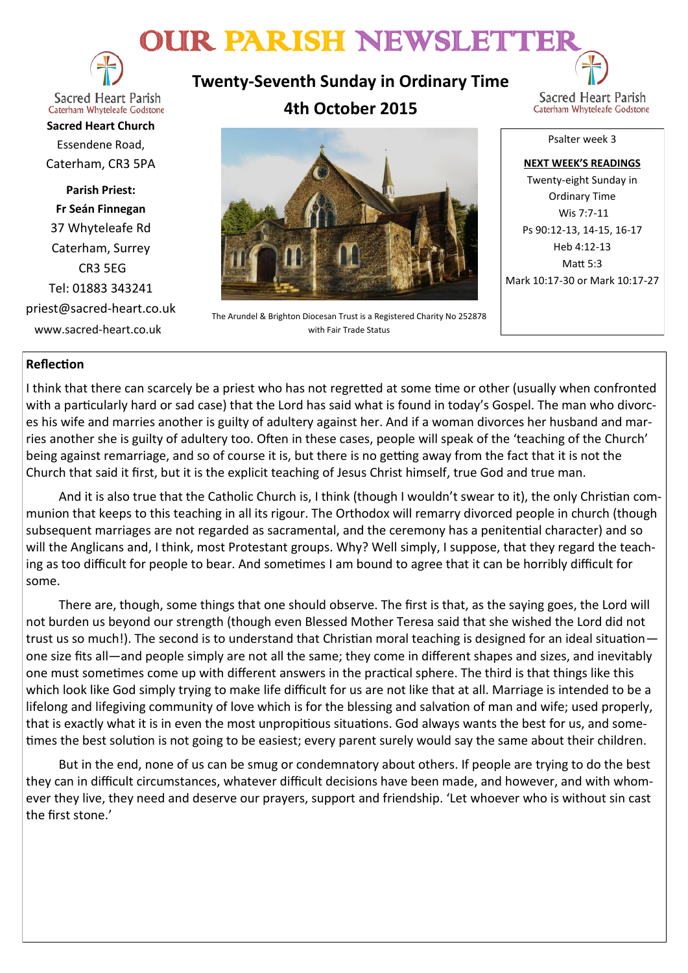# OUR PARISH NEWSLETTE



**Twenty-Seventh Sunday in Ordinary Time 4th October 2015**



Caterham Whyteleafe Godstone **Sacred Heart Church** Essendene Road, Caterham, CR3 5PA

**Parish Priest: Fr Seán Finnegan** 37 Whyteleafe Rd Caterham, Surrey CR3 5EG Tel: 01883 343241 priest@sacred-heart.co.uk www.sacred-heart.co.uk



The Arundel & Brighton Diocesan Trust is a Registered Charity No 252878 with Fair Trade Status

Psalter week 3

**NEXT WEEK'S READINGS** Twenty-eight Sunday in Ordinary Time Wis 7:7-11 Ps 90:12-13, 14-15, 16-17 Heb 4:12-13  $M$ att  $5.3$ Mark 10:17-30 or Mark 10:17-27

# **Reflection**

I think that there can scarcely be a priest who has not regretted at some time or other (usually when confronted with a particularly hard or sad case) that the Lord has said what is found in today's Gospel. The man who divorces his wife and marries another is guilty of adultery against her. And if a woman divorces her husband and marries another she is guilty of adultery too. Often in these cases, people will speak of the 'teaching of the Church' being against remarriage, and so of course it is, but there is no getting away from the fact that it is not the Church that said it first, but it is the explicit teaching of Jesus Christ himself, true God and true man.

And it is also true that the Catholic Church is, I think (though I wouldn't swear to it), the only Christian communion that keeps to this teaching in all its rigour. The Orthodox will remarry divorced people in church (though subsequent marriages are not regarded as sacramental, and the ceremony has a penitential character) and so will the Anglicans and, I think, most Protestant groups. Why? Well simply, I suppose, that they regard the teaching as too difficult for people to bear. And sometimes I am bound to agree that it can be horribly difficult for some.

There are, though, some things that one should observe. The first is that, as the saying goes, the Lord will not burden us beyond our strength (though even Blessed Mother Teresa said that she wished the Lord did not trust us so much!). The second is to understand that Christian moral teaching is designed for an ideal situation one size fits all—and people simply are not all the same; they come in different shapes and sizes, and inevitably one must sometimes come up with different answers in the practical sphere. The third is that things like this which look like God simply trying to make life difficult for us are not like that at all. Marriage is intended to be a lifelong and lifegiving community of love which is for the blessing and salvation of man and wife; used properly, that is exactly what it is in even the most unpropitious situations. God always wants the best for us, and sometimes the best solution is not going to be easiest; every parent surely would say the same about their children.

But in the end, none of us can be smug or condemnatory about others. If people are trying to do the best they can in difficult circumstances, whatever difficult decisions have been made, and however, and with whomever they live, they need and deserve our prayers, support and friendship. 'Let whoever who is without sin cast the first stone.'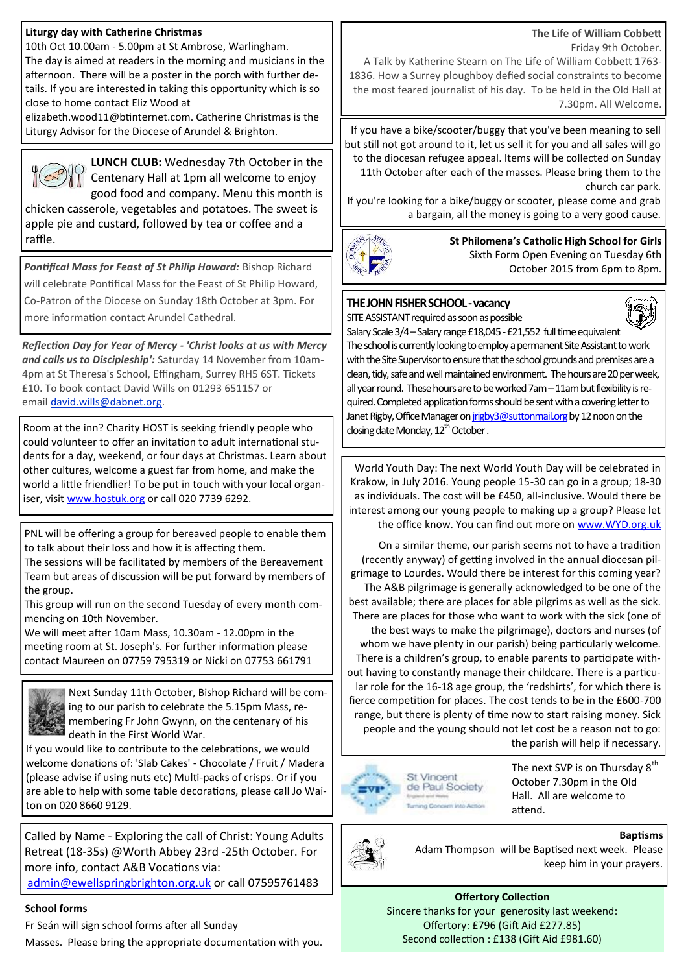#### **Liturgy day with Catherine Christmas**

10th Oct 10.00am - 5.00pm at St Ambrose, Warlingham. The day is aimed at readers in the morning and musicians in the afternoon. There will be a poster in the porch with further details. If you are interested in taking this opportunity which is so close to home contact Eliz Wood at

elizabeth.wood11@btinternet.com. Catherine Christmas is the Liturgy Advisor for the Diocese of Arundel & Brighton.



**LUNCH CLUB:** Wednesday 7th October in the Centenary Hall at 1pm all welcome to enjoy good food and company. Menu this month is

chicken casserole, vegetables and potatoes. The sweet is apple pie and custard, followed by tea or coffee and a raffle.

*Pontifical Mass for Feast of St Philip Howard:* Bishop Richard will celebrate Pontifical Mass for the Feast of St Philip Howard, Co-Patron of the Diocese on Sunday 18th October at 3pm. For more information contact Arundel Cathedral.

*Reflection Day for Year of Mercy - 'Christ looks at us with Mercy and calls us to Discipleship':* Saturday 14 November from 10am-4pm at St Theresa's School, Effingham, Surrey RH5 6ST. Tickets £10. To book contact David Wills on 01293 651157 or email [david.wills@dabnet.org.](mailto:david.wills@dabnet.org?subject=Jeff%20Cavins%20Day%2014%20November)

Room at the inn? Charity HOST is seeking friendly people who could volunteer to offer an invitation to adult international students for a day, weekend, or four days at Christmas. Learn about other cultures, welcome a guest far from home, and make the world a little friendlier! To be put in touch with your local organiser, visit [www.hostuk.org](http://www.hostuk.org) or call 020 7739 6292.

PNL will be offering a group for bereaved people to enable them to talk about their loss and how it is affecting them.

The sessions will be facilitated by members of the Bereavement Team but areas of discussion will be put forward by members of the group.

This group will run on the second Tuesday of every month commencing on 10th November.

We will meet after 10am Mass, 10.30am - 12.00pm in the meeting room at St. Joseph's. For further information please contact Maureen on 07759 795319 or Nicki on 07753 661791



Next Sunday 11th October, Bishop Richard will be coming to our parish to celebrate the 5.15pm Mass, remembering Fr John Gwynn, on the centenary of his death in the First World War.

If you would like to contribute to the celebrations, we would welcome donations of: 'Slab Cakes' - Chocolate / Fruit / Madera (please advise if using nuts etc) Multi-packs of crisps. Or if you are able to help with some table decorations, please call Jo Waiton on 020 8660 9129.

Called by Name - Exploring the call of Christ: Young Adults Retreat (18-35s) @Worth Abbey 23rd -25th October. For more info, contact A&B Vocations via:

[admin@ewellspringbrighton.org.uk](mailto:admin@ewellspringbrighton.org.uk) or call 07595761483

#### **School forms**

Fr Seán will sign school forms after all Sunday

Masses. Please bring the appropriate documentation with you.

#### **The Life of William Cobbett**

Friday 9th October.

A Talk by Katherine Stearn on The Life of William Cobbett 1763- 1836. How a Surrey ploughboy defied social constraints to become the most feared journalist of his day. To be held in the Old Hall at 7.30pm. All Welcome.

If you have a bike/scooter/buggy that you've been meaning to sell but still not got around to it, let us sell it for you and all sales will go to the diocesan refugee appeal. Items will be collected on Sunday 11th October after each of the masses. Please bring them to the church car park.

If you're looking for a bike/buggy or scooter, please come and grab a bargain, all the money is going to a very good cause.



**St Philomena's Catholic High School for Girls** Sixth Form Open Evening on Tuesday 6th October 2015 from 6pm to 8pm.

#### **THE JOHN FISHER SCHOOL -vacancy** SITE ASSISTANT required as soon as possible



Salary Scale 3/4 – Salary range £18,045 - £21,552 full time equivalent The school is currently looking to employ a permanent Site Assistant to work with the Site Supervisor to ensure that the school grounds and premises are a clean, tidy, safe and well maintained environment. The hours are 20 per week, all year round. These hours are to be worked 7am – 11am but flexibility is required. Completed application forms should be sent with a covering letter to Janet Rigby, Office Manager on [jrigby3@suttonmail.org](mailto:jrigby3@suttonmail.org) by 12 noon on the closing date Monday, 12<sup>th</sup> October.

World Youth Day: The next World Youth Day will be celebrated in Krakow, in July 2016. Young people 15-30 can go in a group; 18-30 as individuals. The cost will be £450, all-inclusive. Would there be interest among our young people to making up a group? Please let the office know. You can find out more on [www.WYD.org.uk](http://www.WYD.org.uk)

On a similar theme, our parish seems not to have a tradition (recently anyway) of getting involved in the annual diocesan pilgrimage to Lourdes. Would there be interest for this coming year? The A&B pilgrimage is generally acknowledged to be one of the best available; there are places for able pilgrims as well as the sick. There are places for those who want to work with the sick (one of the best ways to make the pilgrimage), doctors and nurses (of whom we have plenty in our parish) being particularly welcome. There is a children's group, to enable parents to participate without having to constantly manage their childcare. There is a particular role for the 16-18 age group, the 'redshirts', for which there is fierce competition for places. The cost tends to be in the £600-700 range, but there is plenty of time now to start raising money. Sick people and the young should not let cost be a reason not to go: the parish will help if necessary.



The next SVP is on Thursday 8<sup>th</sup> October 7.30pm in the Old Hall. All are welcome to attend.



**Baptisms** Adam Thompson will be Baptised next week. Please keep him in your prayers.

**Offertory Collection** Sincere thanks for your generosity last weekend: Offertory: £796 (Gift Aid £277.85) Second collection : £138 (Gift Aid £981.60)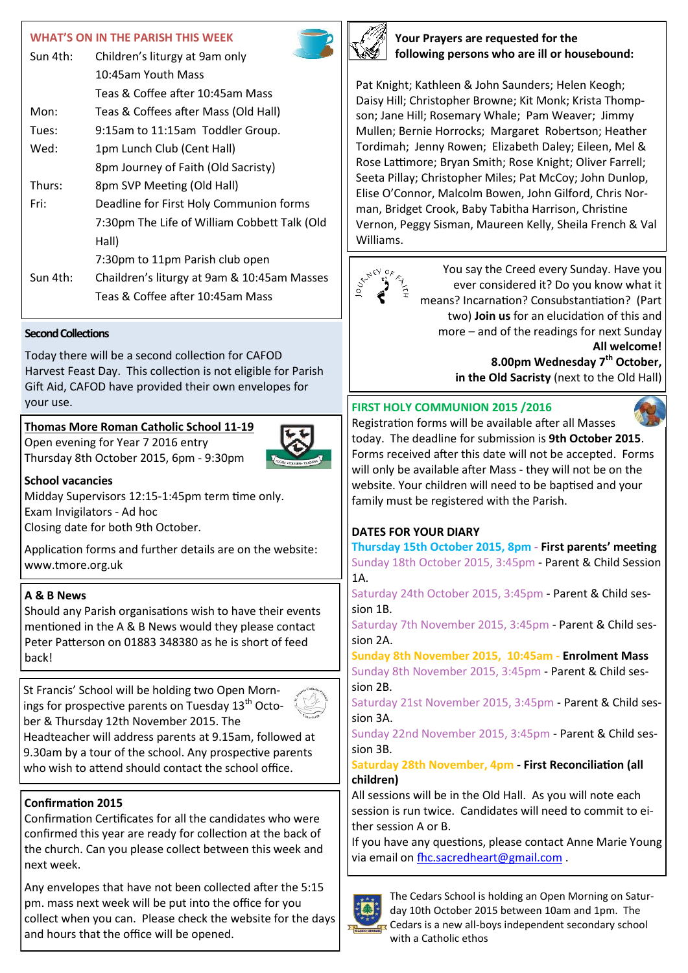# **WHAT'S ON IN THE PARISH THIS WEEK**

| Sun 4th: | Children's liturgy at 9am only               |
|----------|----------------------------------------------|
|          | 10:45am Youth Mass                           |
|          | Teas & Coffee after 10:45am Mass             |
| Mon:     | Teas & Coffees after Mass (Old Hall)         |
| Tues:    | 9:15am to 11:15am Toddler Group.             |
| Wed:     | 1pm Lunch Club (Cent Hall)                   |
|          | 8pm Journey of Faith (Old Sacristy)          |
| Thurs:   | 8pm SVP Meeting (Old Hall)                   |
| Fri:     | Deadline for First Holy Communion forms      |
|          | 7:30pm The Life of William Cobbett Talk (Old |
|          | Hall)                                        |
|          | 7:30pm to 11pm Parish club open              |
| Sun 4th: | Chaildren's liturgy at 9am & 10:45am Masses  |
|          | Teas & Coffee after 10:45am Mass             |

#### **Second Collections**

Today there will be a second collection for CAFOD Harvest Feast Day. This collection is not eligible for Parish Gift Aid, CAFOD have provided their own envelopes for your use. **FIRST HOLY COMMUNION 2015 /2016** 

# **Thomas More Roman Catholic School 11-19**

Open evening for Year 7 2016 entry Thursday 8th October 2015, 6pm - 9:30pm



**School vacancies** Midday Supervisors 12:15-1:45pm term time only.

Exam Invigilators - Ad hoc

Closing date for both 9th October.

Application forms and further details are on the website: www.tmore.org.uk

### **A & B News**

Should any Parish organisations wish to have their events mentioned in the A & B News would they please contact Peter Patterson on 01883 348380 as he is short of feed back!

St Francis' School will be holding two Open Mornings for prospective parents on Tuesday  $13<sup>th</sup>$  October & Thursday 12th November 2015. The



Headteacher will address parents at 9.15am, followed at 9.30am by a tour of the school. Any prospective parents who wish to attend should contact the school office.

# **Confirmation 2015**

Confirmation Certificates for all the candidates who were confirmed this year are ready for collection at the back of the church. Can you please collect between this week and next week.

Any envelopes that have not been collected after the 5:15 pm. mass next week will be put into the office for you collect when you can. Please check the website for the days and hours that the office will be opened.



**Your Prayers are requested for the following persons who are ill or housebound:**

Pat Knight; Kathleen & John Saunders; Helen Keogh; Daisy Hill; Christopher Browne; Kit Monk; Krista Thompson; Jane Hill; Rosemary Whale; Pam Weaver; Jimmy Mullen; Bernie Horrocks; Margaret Robertson; Heather Tordimah; Jenny Rowen; Elizabeth Daley; Eileen, Mel & Rose Lattimore; Bryan Smith; Rose Knight; Oliver Farrell; Seeta Pillay; Christopher Miles; Pat McCoy; John Dunlop, Elise O'Connor, Malcolm Bowen, John Gilford, Chris Norman, Bridget Crook, Baby Tabitha Harrison, Christine Vernon, Peggy Sisman, Maureen Kelly, Sheila French & Val Williams.



You say the Creed every Sunday. Have you ever considered it? Do you know what it means? Incarnation? Consubstantiation? (Part two) **Join us** for an elucidation of this and more – and of the readings for next Sunday **All welcome! 8.00pm Wednesday 7th October, in the Old Sacristy** (next to the Old Hall)



Registration forms will be available after all Masses today. The deadline for submission is **9th October 2015**. Forms received after this date will not be accepted. Forms will only be available after Mass - they will not be on the website. Your children will need to be baptised and your family must be registered with the Parish.

### **DATES FOR YOUR DIARY**

**Thursday 15th October 2015, 8pm - First parents' meeting**  Sunday 18th October 2015, 3:45pm - Parent & Child Session 1A.

Saturday 24th October 2015, 3:45pm - Parent & Child session 1B.

Saturday 7th November 2015, 3:45pm - Parent & Child session 2A.

**Sunday 8th November 2015, 10:45am - Enrolment Mass** Sunday 8th November 2015, 3:45pm - Parent & Child session 2B.

Saturday 21st November 2015, 3:45pm - Parent & Child session 3A.

Sunday 22nd November 2015, 3:45pm - Parent & Child session 3B.

## **Saturday 28th November, 4pm - First Reconciliation (all children)**

All sessions will be in the Old Hall. As you will note each session is run twice. Candidates will need to commit to either session A or B.

If you have any questions, please contact Anne Marie Young via email on [fhc.sacredheart@gmail.com](mailto:fhc.sacredheart@gmail.com).



The Cedars School is holding an Open Morning on Saturday 10th October 2015 between 10am and 1pm. The Cedars is a new all-boys independent secondary school with a Catholic ethos